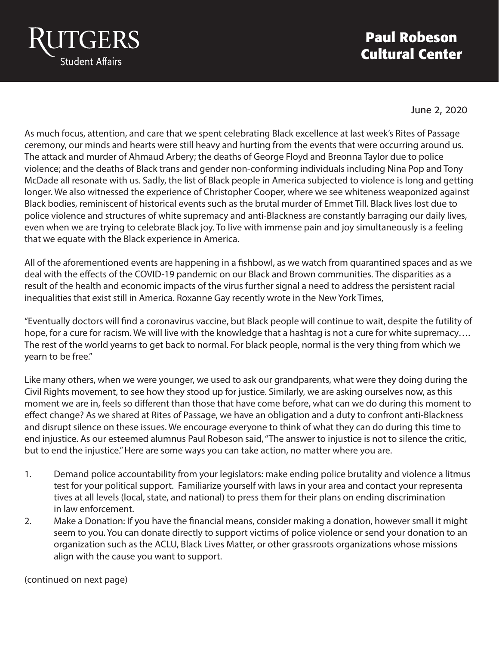

## **Paul Robeson Cultural Center**

June 2, 2020

As much focus, attention, and care that we spent celebrating Black excellence at last week's Rites of Passage ceremony, our minds and hearts were still heavy and hurting from the events that were occurring around us. The attack and murder of Ahmaud Arbery; the deaths of George Floyd and Breonna Taylor due to police violence; and the deaths of Black trans and gender non-conforming individuals including Nina Pop and Tony McDade all resonate with us. Sadly, the list of Black people in America subjected to violence is long and getting longer. We also witnessed the experience of Christopher Cooper, where we see whiteness weaponized against Black bodies, reminiscent of historical events such as the brutal murder of Emmet Till. Black lives lost due to police violence and structures of white supremacy and anti-Blackness are constantly barraging our daily lives, even when we are trying to celebrate Black joy. To live with immense pain and joy simultaneously is a feeling that we equate with the Black experience in America.

All of the aforementioned events are happening in a fishbowl, as we watch from quarantined spaces and as we deal with the effects of the COVID-19 pandemic on our Black and Brown communities. The disparities as a result of the health and economic impacts of the virus further signal a need to address the persistent racial inequalities that exist still in America. Roxanne Gay recently wrote in the New York Times,

"Eventually doctors will find a coronavirus vaccine, but Black people will continue to wait, despite the futility of hope, for a cure for racism. We will live with the knowledge that a hashtag is not a cure for white supremacy…. The rest of the world yearns to get back to normal. For black people, normal is the very thing from which we yearn to be free."

Like many others, when we were younger, we used to ask our grandparents, what were they doing during the Civil Rights movement, to see how they stood up for justice. Similarly, we are asking ourselves now, as this moment we are in, feels so different than those that have come before, what can we do during this moment to effect change? As we shared at Rites of Passage, we have an obligation and a duty to confront anti-Blackness and disrupt silence on these issues. We encourage everyone to think of what they can do during this time to end injustice. As our esteemed alumnus Paul Robeson said, "The answer to injustice is not to silence the critic, but to end the injustice." Here are some ways you can take action, no matter where you are.

- 1. Demand police accountability from your legislators: make ending police brutality and violence a litmus test for your political support. Familiarize yourself with laws in your area and contact your representa tives at all levels (local, state, and national) to press them for their plans on ending discrimination in law enforcement.
- 2. Make a Donation: If you have the financial means, consider making a donation, however small it might seem to you. You can donate directly to support victims of police violence or send your donation to an organization such as the ACLU, Black Lives Matter, or other grassroots organizations whose missions align with the cause you want to support.

(continued on next page)